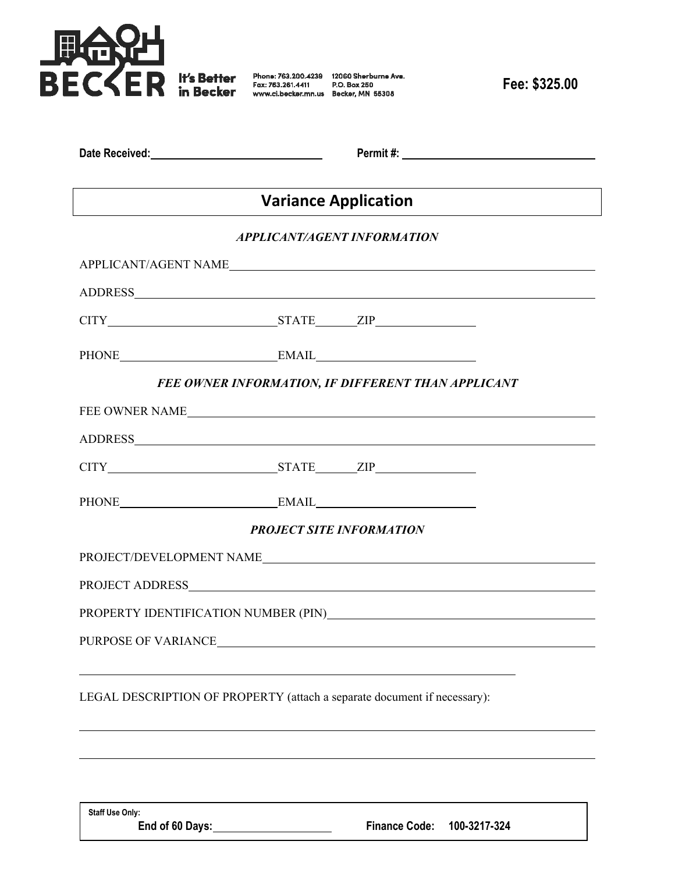

| Date Received: | Permit#: |  |
|----------------|----------|--|
|                |          |  |

# **Variance Application**

## *APPLICANT/AGENT INFORMATION*

| ${\bf APPLICANT/AGENT\ NAME} \label{thm:applicANT}$                      |                                                    |  |
|--------------------------------------------------------------------------|----------------------------------------------------|--|
|                                                                          |                                                    |  |
|                                                                          |                                                    |  |
| PHONE EMAIL EMAIL                                                        |                                                    |  |
|                                                                          | FEE OWNER INFORMATION, IF DIFFERENT THAN APPLICANT |  |
| FEE OWNER NAME                                                           |                                                    |  |
|                                                                          |                                                    |  |
|                                                                          |                                                    |  |
| PHONE EMAIL EMAIL                                                        |                                                    |  |
|                                                                          | <b>PROJECT SITE INFORMATION</b>                    |  |
| PROJECT/DEVELOPMENT NAME                                                 |                                                    |  |
|                                                                          |                                                    |  |
|                                                                          |                                                    |  |
|                                                                          |                                                    |  |
|                                                                          |                                                    |  |
| LEGAL DESCRIPTION OF PROPERTY (attach a separate document if necessary): |                                                    |  |
|                                                                          |                                                    |  |

**Staff Use Only:** 

l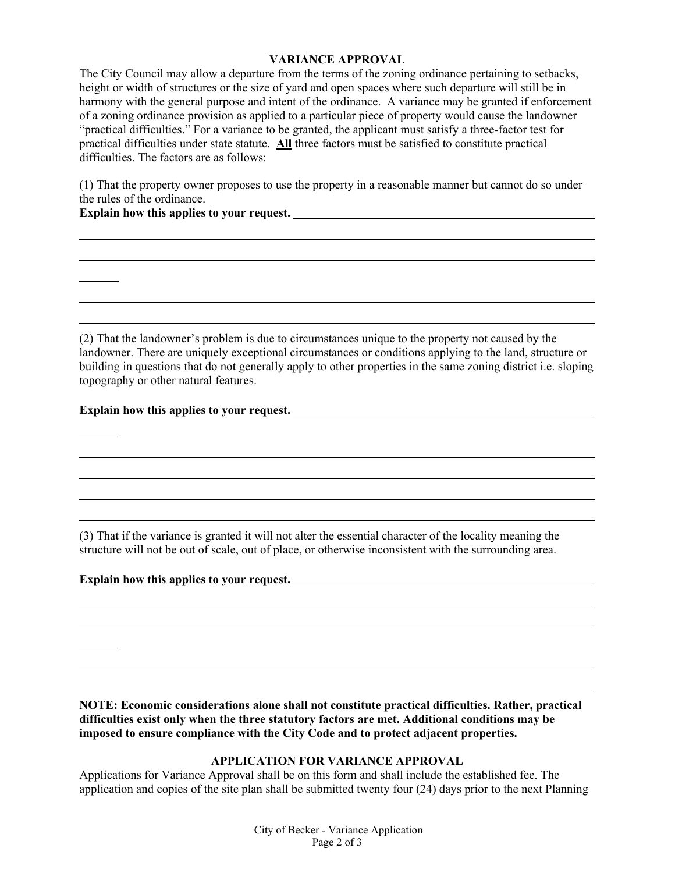## **VARIANCE APPROVAL**

The City Council may allow a departure from the terms of the zoning ordinance pertaining to setbacks, height or width of structures or the size of yard and open spaces where such departure will still be in harmony with the general purpose and intent of the ordinance. A variance may be granted if enforcement of a zoning ordinance provision as applied to a particular piece of property would cause the landowner "practical difficulties." For a variance to be granted, the applicant must satisfy a three-factor test for practical difficulties under state statute. **All** three factors must be satisfied to constitute practical difficulties. The factors are as follows:

(1) That the property owner proposes to use the property in a reasonable manner but cannot do so under the rules of the ordinance.

## **Explain how this applies to your request.**

l

l l l

l l

l

l l l

(2) That the landowner's problem is due to circumstances unique to the property not caused by the landowner. There are uniquely exceptional circumstances or conditions applying to the land, structure or building in questions that do not generally apply to other properties in the same zoning district i.e. sloping topography or other natural features.

## **Explain how this applies to your request.**

(3) That if the variance is granted it will not alter the essential character of the locality meaning the structure will not be out of scale, out of place, or otherwise inconsistent with the surrounding area.

## **Explain how this applies to your request.**

**NOTE: Economic considerations alone shall not constitute practical difficulties. Rather, practical difficulties exist only when the three statutory factors are met. Additional conditions may be imposed to ensure compliance with the City Code and to protect adjacent properties.** 

## **APPLICATION FOR VARIANCE APPROVAL**

Applications for Variance Approval shall be on this form and shall include the established fee. The application and copies of the site plan shall be submitted twenty four (24) days prior to the next Planning